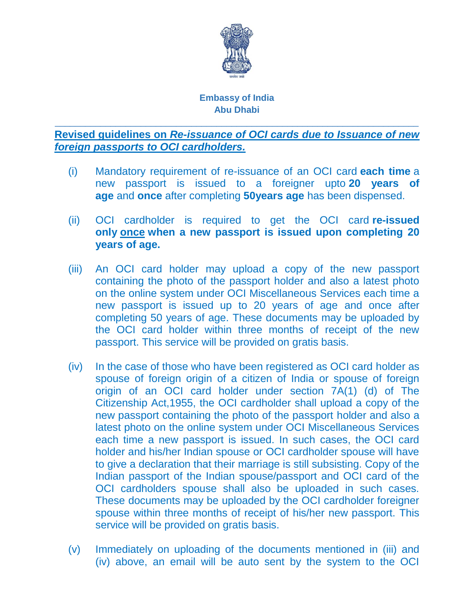

## **Embassy of India Abu Dhabi**

\_\_\_\_\_\_\_\_\_\_\_\_\_\_\_\_\_\_\_\_\_\_\_\_\_\_\_\_\_\_\_\_\_\_\_\_\_\_\_\_\_\_\_\_\_\_\_\_\_\_\_\_\_\_\_\_\_\_\_\_\_\_\_\_\_\_\_\_\_\_\_\_

**Revised guidelines on** *Re-issuance of OCI cards due to Issuance of new foreign passports to OCI cardholders.*

- (i) Mandatory requirement of re-issuance of an OCI card **each time** a new passport is issued to a foreigner upto **20 years of age** and **once** after completing **50years age** has been dispensed.
- (ii) OCI cardholder is required to get the OCI card **re-issued only once when a new passport is issued upon completing 20 years of age.**
- (iii) An OCI card holder may upload a copy of the new passport containing the photo of the passport holder and also a latest photo on the online system under OCI Miscellaneous Services each time a new passport is issued up to 20 years of age and once after completing 50 years of age. These documents may be uploaded by the OCI card holder within three months of receipt of the new passport. This service will be provided on gratis basis.
- (iv) In the case of those who have been registered as OCI card holder as spouse of foreign origin of a citizen of India or spouse of foreign origin of an OCI card holder under section 7A(1) (d) of The Citizenship Act,1955, the OCI cardholder shall upload a copy of the new passport containing the photo of the passport holder and also a latest photo on the online system under OCI Miscellaneous Services each time a new passport is issued. In such cases, the OCI card holder and his/her Indian spouse or OCI cardholder spouse will have to give a declaration that their marriage is still subsisting. Copy of the Indian passport of the Indian spouse/passport and OCI card of the OCI cardholders spouse shall also be uploaded in such cases. These documents may be uploaded by the OCI cardholder foreigner spouse within three months of receipt of his/her new passport. This service will be provided on gratis basis.
- (v) Immediately on uploading of the documents mentioned in (iii) and (iv) above, an email will be auto sent by the system to the OCI